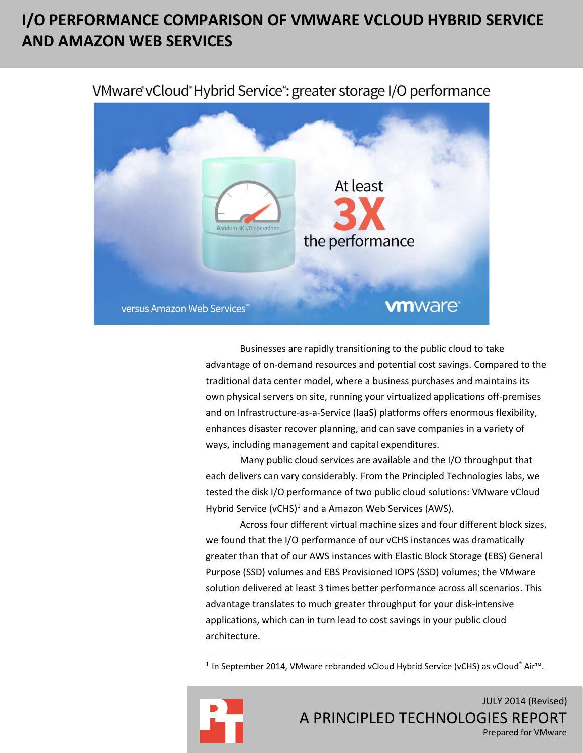# **I/O PERFORMANCE COMPARISON OF VMWARE VCLOUD HYBRID SERVICE AND AMAZON WEB SERVICES**



VMware vCloud Hybrid Service": greater storage I/O performance

Businesses are rapidly transitioning to the public cloud to take advantage of on-demand resources and potential cost savings. Compared to the traditional data center model, where a business purchases and maintains its own physical servers on site, running your virtualized applications off-premises and on Infrastructure-as-a-Service (IaaS) platforms offers enormous flexibility, enhances disaster recover planning, and can save companies in a variety of ways, including management and capital expenditures.

Many public cloud services are available and the I/O throughput that each delivers can vary considerably. From the Principled Technologies labs, we tested the disk I/O performance of two public cloud solutions: VMware vCloud Hybrid Service (vCHS)<sup>1</sup> and a Amazon Web Services (AWS).

Across four different virtual machine sizes and four different block sizes, we found that the I/O performance of our vCHS instances was dramatically greater than that of our AWS instances with Elastic Block Storage (EBS) General Purpose (SSD) volumes and EBS Provisioned IOPS (SSD) volumes; the VMware solution delivered at least 3 times better performance across all scenarios. This advantage translates to much greater throughput for your disk-intensive applications, which can in turn lead to cost savings in your public cloud architecture.

<sup>1</sup> In September 2014, VMware rebranded vCloud Hybrid Service (vCHS) as vCloud<sup>®</sup> Air™.



 $\overline{\phantom{a}}$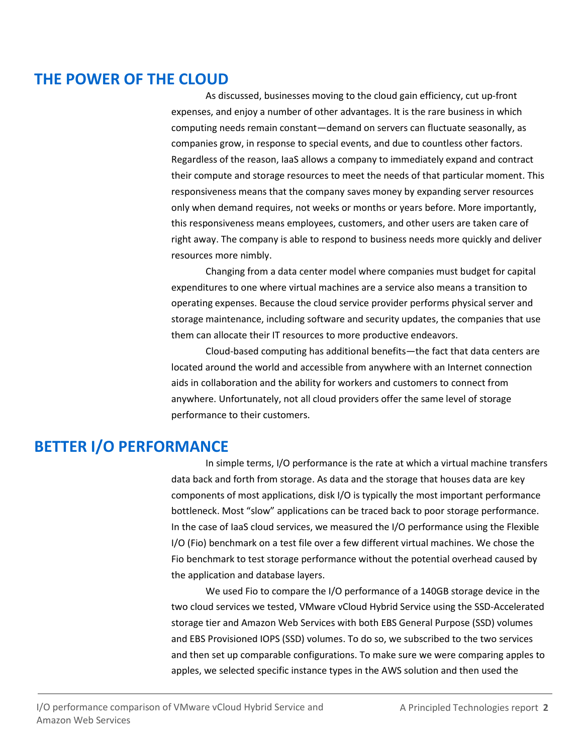## **THE POWER OF THE CLOUD**

As discussed, businesses moving to the cloud gain efficiency, cut up-front expenses, and enjoy a number of other advantages. It is the rare business in which computing needs remain constant—demand on servers can fluctuate seasonally, as companies grow, in response to special events, and due to countless other factors. Regardless of the reason, IaaS allows a company to immediately expand and contract their compute and storage resources to meet the needs of that particular moment. This responsiveness means that the company saves money by expanding server resources only when demand requires, not weeks or months or years before. More importantly, this responsiveness means employees, customers, and other users are taken care of right away. The company is able to respond to business needs more quickly and deliver resources more nimbly.

Changing from a data center model where companies must budget for capital expenditures to one where virtual machines are a service also means a transition to operating expenses. Because the cloud service provider performs physical server and storage maintenance, including software and security updates, the companies that use them can allocate their IT resources to more productive endeavors.

Cloud-based computing has additional benefits—the fact that data centers are located around the world and accessible from anywhere with an Internet connection aids in collaboration and the ability for workers and customers to connect from anywhere. Unfortunately, not all cloud providers offer the same level of storage performance to their customers.

## **BETTER I/O PERFORMANCE**

In simple terms, I/O performance is the rate at which a virtual machine transfers data back and forth from storage. As data and the storage that houses data are key components of most applications, disk I/O is typically the most important performance bottleneck. Most "slow" applications can be traced back to poor storage performance. In the case of IaaS cloud services, we measured the I/O performance using the Flexible I/O (Fio) benchmark on a test file over a few different virtual machines. We chose the Fio benchmark to test storage performance without the potential overhead caused by the application and database layers.

We used Fio to compare the I/O performance of a 140GB storage device in the two cloud services we tested, VMware vCloud Hybrid Service using the SSD-Accelerated storage tier and Amazon Web Services with both EBS General Purpose (SSD) volumes and EBS Provisioned IOPS (SSD) volumes. To do so, we subscribed to the two services and then set up comparable configurations. To make sure we were comparing apples to apples, we selected specific instance types in the AWS solution and then used the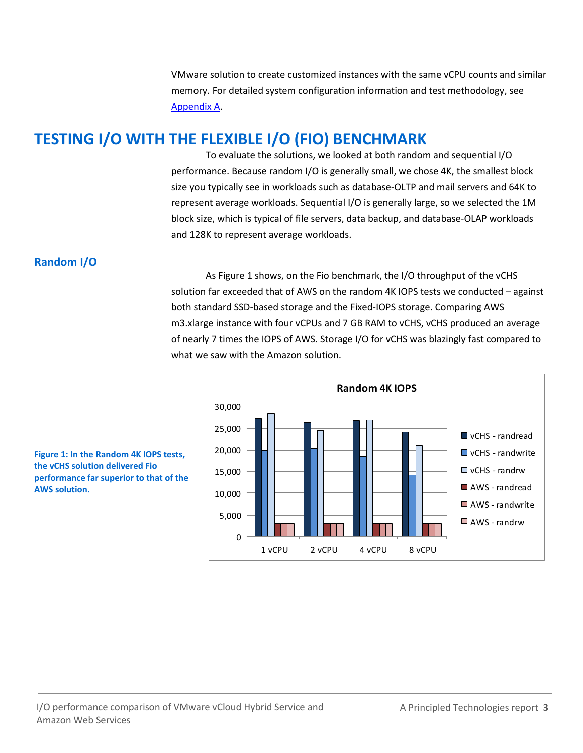VMware solution to create customized instances with the same vCPU counts and similar memory. For detailed system configuration information and test methodology, see [Appendix A.](#page-6-0)

## **TESTING I/O WITH THE FLEXIBLE I/O (FIO) BENCHMARK**

To evaluate the solutions, we looked at both random and sequential I/O performance. Because random I/O is generally small, we chose 4K, the smallest block size you typically see in workloads such as database-OLTP and mail servers and 64K to represent average workloads. Sequential I/O is generally large, so we selected the 1M block size, which is typical of file servers, data backup, and database-OLAP workloads and 128K to represent average workloads.

### **Random I/O**

As Figure 1 shows, on the Fio benchmark, the I/O throughput of the vCHS solution far exceeded that of AWS on the random 4K IOPS tests we conducted – against both standard SSD-based storage and the Fixed-IOPS storage. Comparing AWS m3.xlarge instance with four vCPUs and 7 GB RAM to vCHS, vCHS produced an average of nearly 7 times the IOPS of AWS. Storage I/O for vCHS was blazingly fast compared to what we saw with the Amazon solution.



**Figure 1: In the Random 4K IOPS tests, the vCHS solution delivered Fio performance far superior to that of the AWS solution.**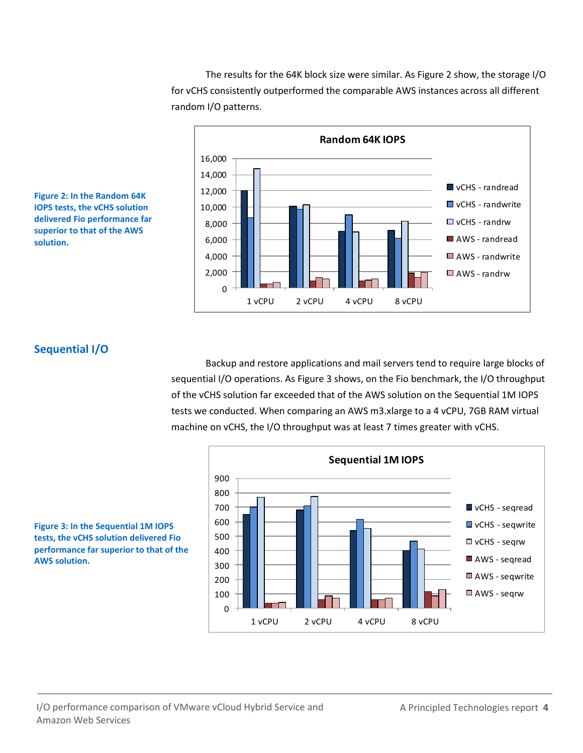The results for the 64K block size were similar. As Figure 2 show, the storage I/O for vCHS consistently outperformed the comparable AWS instances across all different random I/O patterns.





### **Sequential I/O**

Backup and restore applications and mail servers tend to require large blocks of sequential I/O operations. As Figure 3 shows, on the Fio benchmark, the I/O throughput of the vCHS solution far exceeded that of the AWS solution on the Sequential 1M IOPS tests we conducted. When comparing an AWS m3.xlarge to a 4 vCPU, 7GB RAM virtual machine on vCHS, the I/O throughput was at least 7 times greater with vCHS.



**Figure 3: In the Sequential 1M IOPS tests, the vCHS solution delivered Fio performance far superior to that of the AWS solution.**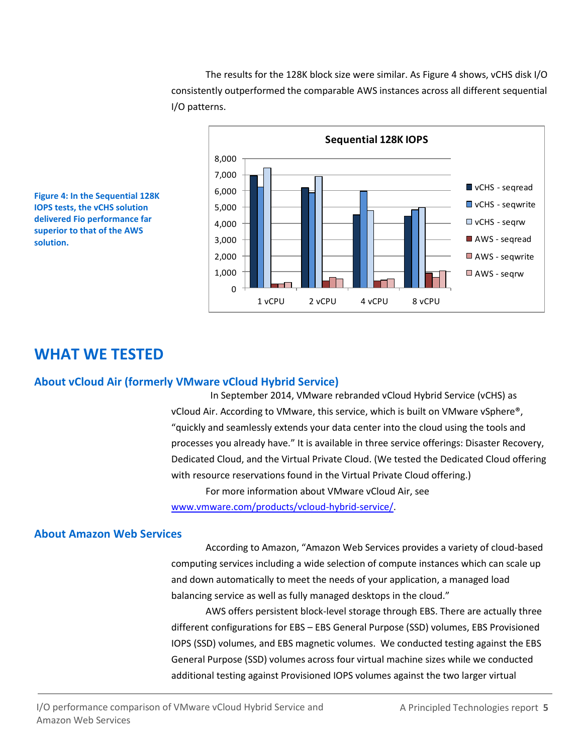The results for the 128K block size were similar. As Figure 4 shows, vCHS disk I/O consistently outperformed the comparable AWS instances across all different sequential I/O patterns.





## **WHAT WE TESTED**

#### **About vCloud Air (formerly VMware vCloud Hybrid Service)**

 In September 2014, VMware rebranded vCloud Hybrid Service (vCHS) as vCloud Air. According to VMware, this service, which is built on VMware vSphere®, "quickly and seamlessly extends your data center into the cloud using the tools and processes you already have." It is available in three service offerings: Disaster Recovery, Dedicated Cloud, and the Virtual Private Cloud. (We tested the Dedicated Cloud offering with resource reservations found in the Virtual Private Cloud offering.)

For more information about VMware vCloud Air, see [www.vmware.com/products/vcloud-hybrid-service/.](http://www.vmware.com/products/vcloud-hybrid-service/)

#### **About Amazon Web Services**

According to Amazon, "Amazon Web Services provides a variety of cloud-based computing services including a wide selection of compute instances which can scale up and down automatically to meet the needs of your application, a managed load balancing service as well as fully managed desktops in the cloud."

AWS offers persistent block-level storage through EBS. There are actually three different configurations for EBS – EBS General Purpose (SSD) volumes, EBS Provisioned IOPS (SSD) volumes, and EBS magnetic volumes. We conducted testing against the EBS General Purpose (SSD) volumes across four virtual machine sizes while we conducted additional testing against Provisioned IOPS volumes against the two larger virtual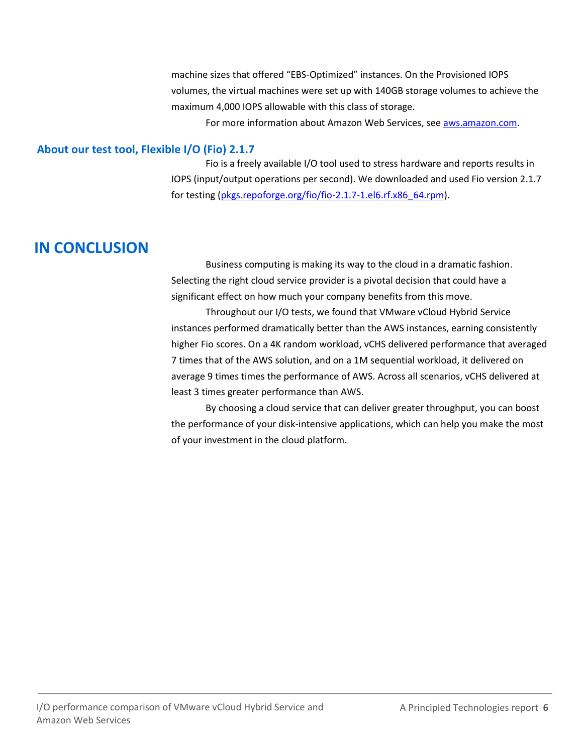machine sizes that offered "EBS-Optimized" instances. On the Provisioned IOPS volumes, the virtual machines were set up with 140GB storage volumes to achieve the maximum 4,000 IOPS allowable with this class of storage.

For more information about Amazon Web Services, se[e aws.amazon.com.](http://aws.amazon.com/)

#### **About our test tool, Flexible I/O (Fio) 2.1.7**

Fio is a freely available I/O tool used to stress hardware and reports results in IOPS (input/output operations per second). We downloaded and used Fio version 2.1.7 for testing [\(pkgs.repoforge.org/fio/fio-2.1.7-1.el6.rf.x86\\_64.rpm\)](http://pkgs.repoforge.org/fio/fio-2.1.7-1.el6.rf.x86_64.rpm).

## **IN CONCLUSION**

Business computing is making its way to the cloud in a dramatic fashion. Selecting the right cloud service provider is a pivotal decision that could have a significant effect on how much your company benefits from this move.

Throughout our I/O tests, we found that VMware vCloud Hybrid Service instances performed dramatically better than the AWS instances, earning consistently higher Fio scores. On a 4K random workload, vCHS delivered performance that averaged 7 times that of the AWS solution, and on a 1M sequential workload, it delivered on average 9 times times the performance of AWS. Across all scenarios, vCHS delivered at least 3 times greater performance than AWS.

By choosing a cloud service that can deliver greater throughput, you can boost the performance of your disk-intensive applications, which can help you make the most of your investment in the cloud platform.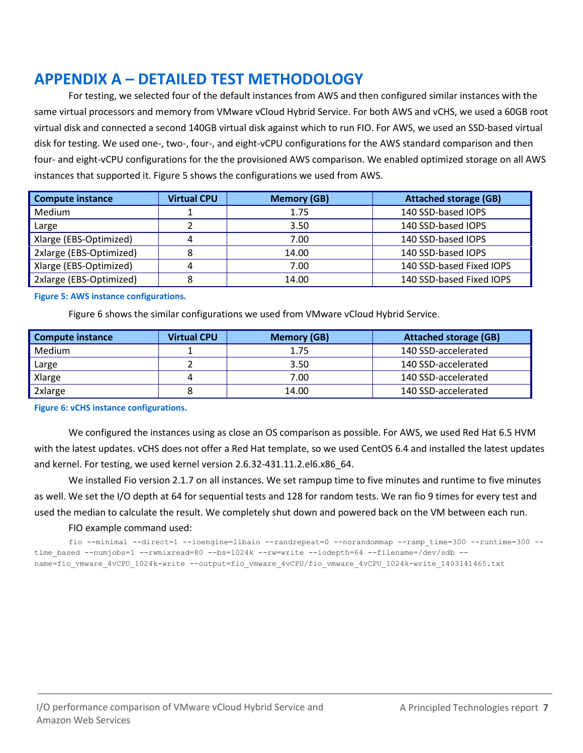# <span id="page-6-0"></span>**APPENDIX A – DETAILED TEST METHODOLOGY**

For testing, we selected four of the default instances from AWS and then configured similar instances with the same virtual processors and memory from VMware vCloud Hybrid Service. For both AWS and vCHS, we used a 60GB root virtual disk and connected a second 140GB virtual disk against which to run FIO. For AWS, we used an SSD-based virtual disk for testing. We used one-, two-, four-, and eight-vCPU configurations for the AWS standard comparison and then four- and eight-vCPU configurations for the the provisioned AWS comparison. We enabled optimized storage on all AWS instances that supported it. Figure 5 shows the configurations we used from AWS.

| <b>Compute instance</b> | <b>Virtual CPU</b> | <b>Memory (GB)</b> | <b>Attached storage (GB)</b> |
|-------------------------|--------------------|--------------------|------------------------------|
| Medium                  |                    | 1.75               | 140 SSD-based IOPS           |
| Large                   |                    | 3.50               | 140 SSD-based IOPS           |
| Xlarge (EBS-Optimized)  |                    | 7.00               | 140 SSD-based IOPS           |
| 2xlarge (EBS-Optimized) |                    | 14.00              | 140 SSD-based IOPS           |
| Xlarge (EBS-Optimized)  | 4                  | 7.00               | 140 SSD-based Fixed IOPS     |
| 2xlarge (EBS-Optimized) |                    | 14.00              | 140 SSD-based Fixed IOPS     |

#### **Figure 5: AWS instance configurations.**

Figure 6 shows the similar configurations we used from VMware vCloud Hybrid Service.

| <b>Compute instance</b> | <b>Virtual CPU</b> | <b>Memory (GB)</b> | <b>Attached storage (GB)</b> |
|-------------------------|--------------------|--------------------|------------------------------|
| <b>Medium</b>           |                    | 1.75               | 140 SSD-accelerated          |
| Large                   |                    | 3.50               | 140 SSD-accelerated          |
| Xlarge                  |                    | 7.00               | 140 SSD-accelerated          |
| 2xlarge                 |                    | 14.00              | 140 SSD-accelerated          |

**Figure 6: vCHS instance configurations.**

We configured the instances using as close an OS comparison as possible. For AWS, we used Red Hat 6.5 HVM with the latest updates. vCHS does not offer a Red Hat template, so we used CentOS 6.4 and installed the latest updates and kernel. For testing, we used kernel version 2.6.32-431.11.2.el6.x86\_64.

We installed Fio version 2.1.7 on all instances. We set rampup time to five minutes and runtime to five minutes as well. We set the I/O depth at 64 for sequential tests and 128 for random tests. We ran fio 9 times for every test and used the median to calculate the result. We completely shut down and powered back on the VM between each run.

#### FIO example command used:

fio --minimal --direct=1 --ioengine=libaio --randrepeat=0 --norandommap --ramp time=300 --runtime=300 -time\_based --numjobs=1 --rwmixread=80 --bs=1024k --rw=write --iodepth=64 --filename=/dev/sdb -name=fio\_vmware\_4vCPU\_1024k-write --output=fio\_vmware\_4vCPU/fio\_vmware\_4vCPU\_1024k-write\_1403141465.txt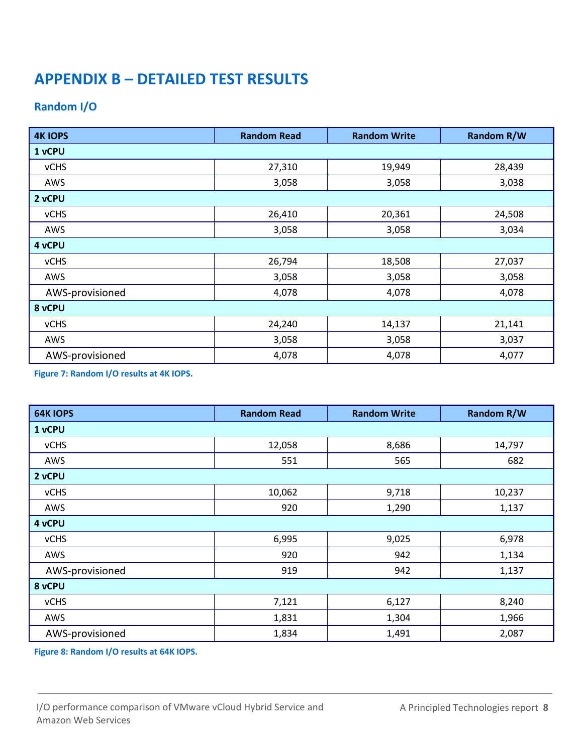# **APPENDIX B – DETAILED TEST RESULTS**

### **Random I/O**

| <b>4K IOPS</b>  | <b>Random Read</b> | <b>Random Write</b> | <b>Random R/W</b> |  |
|-----------------|--------------------|---------------------|-------------------|--|
| 1 vCPU          |                    |                     |                   |  |
| <b>vCHS</b>     | 27,310             | 19,949              | 28,439            |  |
| AWS             | 3,058              | 3,058               | 3,038             |  |
| 2 vCPU          |                    |                     |                   |  |
| <b>vCHS</b>     | 26,410             | 20,361              | 24,508            |  |
| AWS             | 3,058              | 3,058               | 3,034             |  |
| 4 vCPU          |                    |                     |                   |  |
| <b>vCHS</b>     | 26,794             | 18,508              | 27,037            |  |
| AWS             | 3,058              | 3,058               | 3,058             |  |
| AWS-provisioned | 4,078              | 4,078               | 4,078             |  |
| 8 vCPU          |                    |                     |                   |  |
| <b>vCHS</b>     | 24,240             | 14,137              | 21,141            |  |
| AWS             | 3,058              | 3,058               | 3,037             |  |
| AWS-provisioned | 4,078              | 4,078               | 4,077             |  |

**Figure 7: Random I/O results at 4K IOPS.**

| <b>64K IOPS</b> | <b>Random Read</b> | <b>Random Write</b> | <b>Random R/W</b> |
|-----------------|--------------------|---------------------|-------------------|
| 1 vCPU          |                    |                     |                   |
| <b>vCHS</b>     | 12,058             | 8,686               | 14,797            |
| AWS             | 551                | 565                 | 682               |
| 2 vCPU          |                    |                     |                   |
| <b>vCHS</b>     | 10,062             | 9,718               | 10,237            |
| AWS             | 920                | 1,290               | 1,137             |
| 4 vCPU          |                    |                     |                   |
| <b>vCHS</b>     | 6,995              | 9,025               | 6,978             |
| AWS             | 920                | 942                 | 1,134             |
| AWS-provisioned | 919                | 942                 | 1,137             |
| 8 vCPU          |                    |                     |                   |
| <b>vCHS</b>     | 7,121              | 6,127               | 8,240             |
| AWS             | 1,831              | 1,304               | 1,966             |
| AWS-provisioned | 1,834              | 1,491               | 2,087             |

**Figure 8: Random I/O results at 64K IOPS.**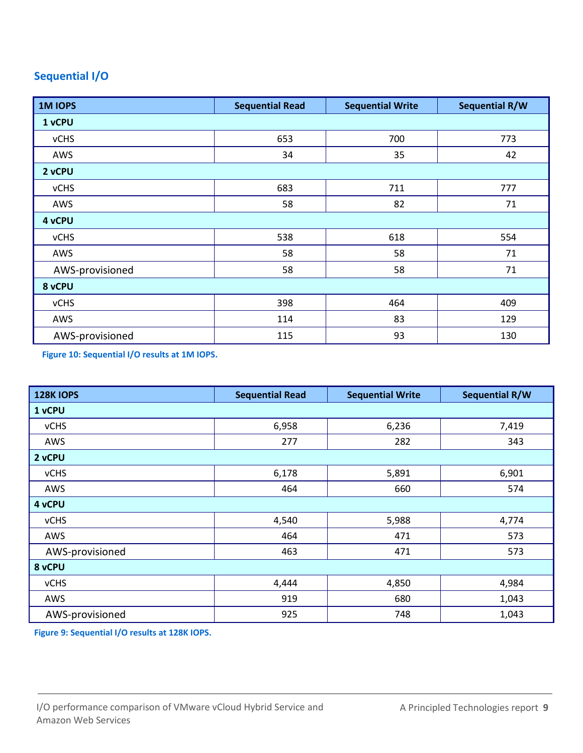## **Sequential I/O**

| <b>1MIOPS</b>   | <b>Sequential Read</b> | <b>Sequential Write</b> | Sequential R/W |  |
|-----------------|------------------------|-------------------------|----------------|--|
| 1 vCPU          |                        |                         |                |  |
| <b>vCHS</b>     | 653                    | 700                     | 773            |  |
| AWS             | 34                     | 35                      | 42             |  |
| 2 vCPU          |                        |                         |                |  |
| <b>vCHS</b>     | 683                    | 711                     | 777            |  |
| AWS             | 58                     | 82                      | 71             |  |
| 4 vCPU          |                        |                         |                |  |
| <b>vCHS</b>     | 538                    | 618                     | 554            |  |
| AWS             | 58                     | 58                      | 71             |  |
| AWS-provisioned | 58                     | 58                      | 71             |  |
| 8 vCPU          |                        |                         |                |  |
| <b>vCHS</b>     | 398                    | 464                     | 409            |  |
| AWS             | 114                    | 83                      | 129            |  |
| AWS-provisioned | 115                    | 93                      | 130            |  |

**Figure 10: Sequential I/O results at 1M IOPS.**

| <b>128K IOPS</b> | <b>Sequential Read</b> | <b>Sequential Write</b> | <b>Sequential R/W</b> |
|------------------|------------------------|-------------------------|-----------------------|
| 1 vCPU           |                        |                         |                       |
| <b>vCHS</b>      | 6,958                  | 6,236                   | 7,419                 |
| AWS              | 277                    | 282                     | 343                   |
| 2 vCPU           |                        |                         |                       |
| <b>vCHS</b>      | 6,178                  | 5,891                   | 6,901                 |
| AWS              | 464                    | 660                     | 574                   |
| 4 vCPU           |                        |                         |                       |
| <b>vCHS</b>      | 4,540                  | 5,988                   | 4,774                 |
| AWS              | 464                    | 471                     | 573                   |
| AWS-provisioned  | 463                    | 471                     | 573                   |
| 8 vCPU           |                        |                         |                       |
| <b>vCHS</b>      | 4,444                  | 4,850                   | 4,984                 |
| AWS              | 919                    | 680                     | 1,043                 |
| AWS-provisioned  | 925                    | 748                     | 1,043                 |

**Figure 9: Sequential I/O results at 128K IOPS.**